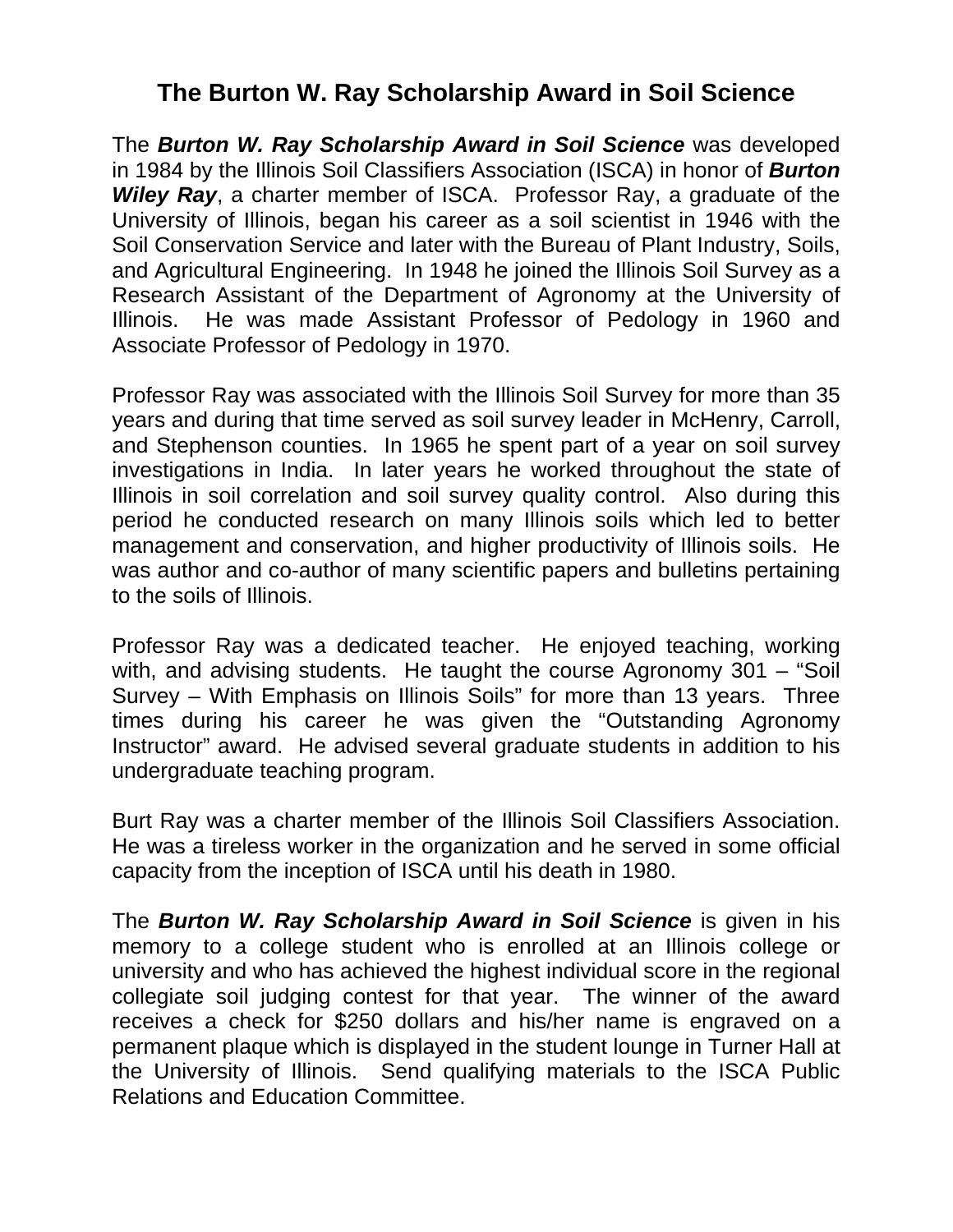## **The Burton W. Ray Scholarship Award in Soil Science**

The *Burton W. Ray Scholarship Award in Soil Science* was developed in 1984 by the Illinois Soil Classifiers Association (ISCA) in honor of *Burton Wiley Ray*, a charter member of ISCA. Professor Ray, a graduate of the University of Illinois, began his career as a soil scientist in 1946 with the Soil Conservation Service and later with the Bureau of Plant Industry, Soils, and Agricultural Engineering. In 1948 he joined the Illinois Soil Survey as a Research Assistant of the Department of Agronomy at the University of Illinois. He was made Assistant Professor of Pedology in 1960 and Associate Professor of Pedology in 1970.

Professor Ray was associated with the Illinois Soil Survey for more than 35 years and during that time served as soil survey leader in McHenry, Carroll, and Stephenson counties. In 1965 he spent part of a year on soil survey investigations in India. In later years he worked throughout the state of Illinois in soil correlation and soil survey quality control. Also during this period he conducted research on many Illinois soils which led to better management and conservation, and higher productivity of Illinois soils. He was author and co-author of many scientific papers and bulletins pertaining to the soils of Illinois.

Professor Ray was a dedicated teacher. He enjoyed teaching, working with, and advising students. He taught the course Agronomy 301 – "Soil Survey – With Emphasis on Illinois Soils" for more than 13 years. Three times during his career he was given the "Outstanding Agronomy Instructor" award. He advised several graduate students in addition to his undergraduate teaching program.

Burt Ray was a charter member of the Illinois Soil Classifiers Association. He was a tireless worker in the organization and he served in some official capacity from the inception of ISCA until his death in 1980.

The *Burton W. Ray Scholarship Award in Soil Science* is given in his memory to a college student who is enrolled at an Illinois college or university and who has achieved the highest individual score in the regional collegiate soil judging contest for that year. The winner of the award receives a check for \$250 dollars and his/her name is engraved on a permanent plaque which is displayed in the student lounge in Turner Hall at the University of Illinois. Send qualifying materials to the ISCA Public Relations and Education Committee.